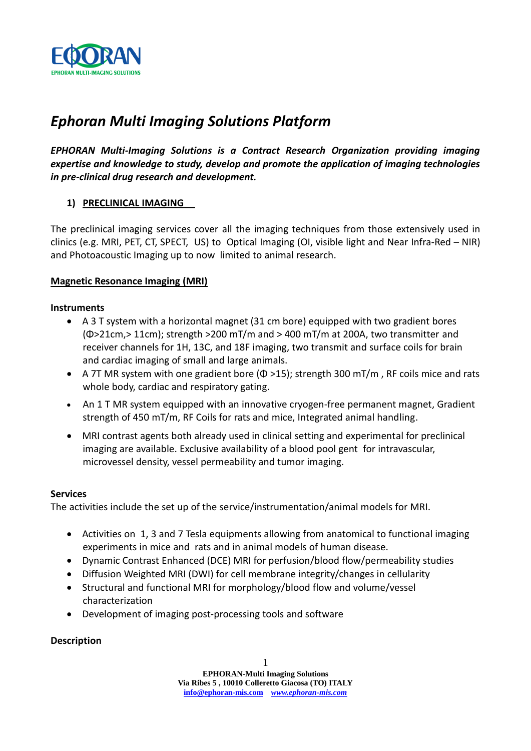

# *Ephoran Multi Imaging Solutions Platform*

*EPHORAN Multi-Imaging Solutions is a Contract Research Organization providing imaging expertise and knowledge to study, develop and promote the application of imaging technologies in pre-clinical drug research and development.*

# **1) PRECLINICAL IMAGING**

The preclinical imaging services cover all the imaging techniques from those extensively used in clinics (e.g. MRI, PET, CT, SPECT, US) to Optical Imaging (OI, visible light and Near Infra-Red – NIR) and Photoacoustic Imaging up to now limited to animal research.

# **Magnetic Resonance Imaging (MRI)**

### **Instruments**

- A 3 T system with a horizontal magnet (31 cm bore) equipped with two gradient bores (Φ>21cm,> 11cm); strength >200 mT/m and > 400 mT/m at 200A, two transmitter and receiver channels for 1H, 13C, and 18F imaging, two transmit and surface coils for brain and cardiac imaging of small and large animals.
- A 7T MR system with one gradient bore  $(\Phi > 15)$ ; strength 300 mT/m, RF coils mice and rats whole body, cardiac and respiratory gating.
- An 1 T MR system equipped with an innovative cryogen-free permanent magnet, Gradient strength of 450 mT/m, RF Coils for rats and mice, Integrated animal handling.
- MRI contrast agents both already used in clinical setting and experimental for preclinical imaging are available. Exclusive availability of a blood pool gent for intravascular, microvessel density, vessel permeability and tumor imaging.

### **Services**

The activities include the set up of the service/instrumentation/animal models for MRI.

- Activities on 1, 3 and 7 Tesla equipments allowing from anatomical to functional imaging experiments in mice and rats and in animal models of human disease.
- Dynamic Contrast Enhanced (DCE) MRI for perfusion/blood flow/permeability studies
- Diffusion Weighted MRI (DWI) for cell membrane integrity/changes in cellularity
- Structural and functional MRI for morphology/blood flow and volume/vessel characterization
- Development of imaging post-processing tools and software

# **Description**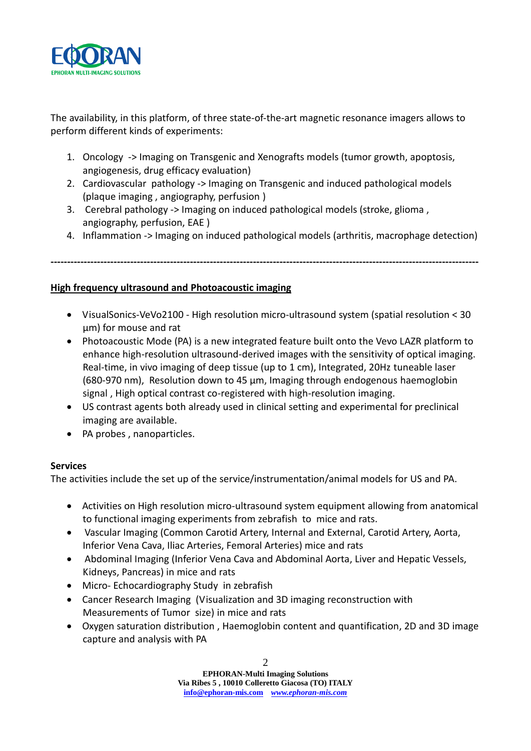

The availability, in this platform, of three state-of-the-art magnetic resonance imagers allows to perform different kinds of experiments:

- 1. Oncology -> Imaging on Transgenic and Xenografts models (tumor growth, apoptosis, angiogenesis, drug efficacy evaluation)
- 2. Cardiovascular pathology -> Imaging on Transgenic and induced pathological models (plaque imaging , angiography, perfusion )
- 3. Cerebral pathology -> Imaging on induced pathological models (stroke, glioma , angiography, perfusion, EAE )
- 4. Inflammation -> Imaging on induced pathological models (arthritis, macrophage detection)

**---------------------------------------------------------------------------------------------------------------------------------**

```
High frequency ultrasound and Photoacoustic imaging
```
- VisualSonics-VeVo2100 High resolution micro-ultrasound system (spatial resolution < 30 µm) for mouse and rat
- Photoacoustic Mode (PA) is a new integrated feature built onto the Vevo LAZR platform to enhance high-resolution ultrasound-derived images with the sensitivity of optical imaging. Real-time, in vivo imaging of deep tissue (up to 1 cm), Integrated, 20Hz tuneable laser (680-970 nm), Resolution down to 45 µm, Imaging through endogenous haemoglobin signal , High optical contrast co-registered with high-resolution imaging.
- US contrast agents both already used in clinical setting and experimental for preclinical imaging are available.
- PA probes, nanoparticles.

# **Services**

The activities include the set up of the service/instrumentation/animal models for US and PA.

- Activities on High resolution micro-ultrasound system equipment allowing from anatomical to functional imaging experiments from zebrafish to mice and rats.
- Vascular Imaging (Common Carotid Artery, Internal and External, Carotid Artery, Aorta, Inferior Vena Cava, Iliac Arteries, Femoral Arteries) mice and rats
- Abdominal Imaging (Inferior Vena Cava and Abdominal Aorta, Liver and Hepatic Vessels, Kidneys, Pancreas) in mice and rats
- Micro- Echocardiography Study in zebrafish
- Cancer Research Imaging (Visualization and 3D imaging reconstruction with Measurements of Tumor size) in mice and rats
- Oxygen saturation distribution , Haemoglobin content and quantification, 2D and 3D image capture and analysis with PA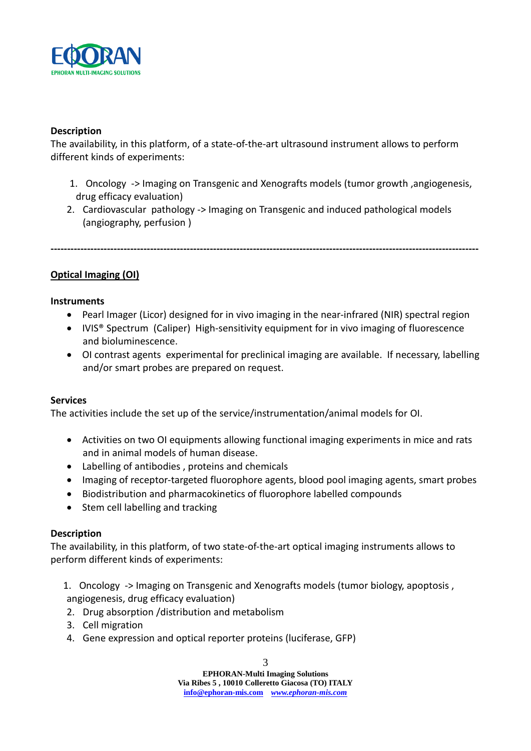

# **Description**

The availability, in this platform, of a state-of-the-art ultrasound instrument allows to perform different kinds of experiments:

- 1. Oncology -> Imaging on Transgenic and Xenografts models (tumor growth ,angiogenesis, drug efficacy evaluation)
- 2. Cardiovascular pathology -> Imaging on Transgenic and induced pathological models (angiography, perfusion )

**---------------------------------------------------------------------------------------------------------------------------------**

**Optical Imaging (OI)**

#### **Instruments**

- Pearl Imager (Licor) designed for in vivo imaging in the near-infrared (NIR) spectral region
- IVIS<sup>®</sup> Spectrum (Caliper) High-sensitivity equipment for in vivo imaging of fluorescence and bioluminescence.
- OI contrast agents experimental for preclinical imaging are available. If necessary, labelling and/or smart probes are prepared on request.

### **Services**

The activities include the set up of the service/instrumentation/animal models for OI.

- Activities on two OI equipments allowing functional imaging experiments in mice and rats and in animal models of human disease.
- Labelling of antibodies , proteins and chemicals
- Imaging of receptor-targeted fluorophore agents, blood pool imaging agents, smart probes
- Biodistribution and pharmacokinetics of fluorophore labelled compounds
- Stem cell labelling and tracking

#### **Description**

The availability, in this platform, of two state-of-the-art optical imaging instruments allows to perform different kinds of experiments:

1. Oncology -> Imaging on Transgenic and Xenografts models (tumor biology, apoptosis , angiogenesis, drug efficacy evaluation)

- 2. Drug absorption /distribution and metabolism
- 3. Cell migration
- 4. Gene expression and optical reporter proteins (luciferase, GFP)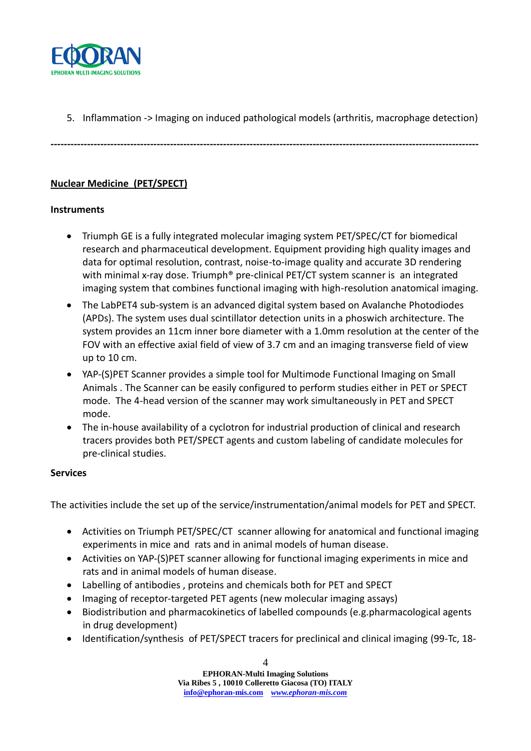

5. Inflammation -> Imaging on induced pathological models (arthritis, macrophage detection)

**---------------------------------------------------------------------------------------------------------------------------------**

# **Nuclear Medicine (PET/SPECT)**

# **Instruments**

- Triumph GE is a fully integrated molecular imaging system PET/SPEC/CT for biomedical research and pharmaceutical development. Equipment providing high quality images and data for optimal resolution, contrast, noise-to-image quality and accurate 3D rendering with minimal x-ray dose. Triumph<sup>®</sup> pre-clinical PET/CT system scanner is an integrated imaging system that combines functional imaging with high-resolution anatomical imaging.
- The LabPET4 sub-system is an advanced digital system based on Avalanche Photodiodes (APDs). The system uses dual scintillator detection units in a phoswich architecture. The system provides an 11cm inner bore diameter with a 1.0mm resolution at the center of the FOV with an effective axial field of view of 3.7 cm and an imaging transverse field of view up to 10 cm.
- YAP-(S)PET Scanner provides a simple tool for Multimode Functional Imaging on Small Animals . The Scanner can be easily configured to perform studies either in PET or SPECT mode. The 4-head version of the scanner may work simultaneously in PET and SPECT mode.
- The in-house availability of a cyclotron for industrial production of clinical and research tracers provides both PET/SPECT agents and custom labeling of candidate molecules for pre-clinical studies.

### **Services**

The activities include the set up of the service/instrumentation/animal models for PET and SPECT.

- Activities on Triumph PET/SPEC/CT scanner allowing for anatomical and functional imaging experiments in mice and rats and in animal models of human disease.
- Activities on YAP-(S)PET scanner allowing for functional imaging experiments in mice and rats and in animal models of human disease.
- Labelling of antibodies , proteins and chemicals both for PET and SPECT
- Imaging of receptor-targeted PET agents (new molecular imaging assays)
- Biodistribution and pharmacokinetics of labelled compounds (e.g.pharmacological agents in drug development)
- Identification/synthesis of PET/SPECT tracers for preclinical and clinical imaging (99-Tc, 18-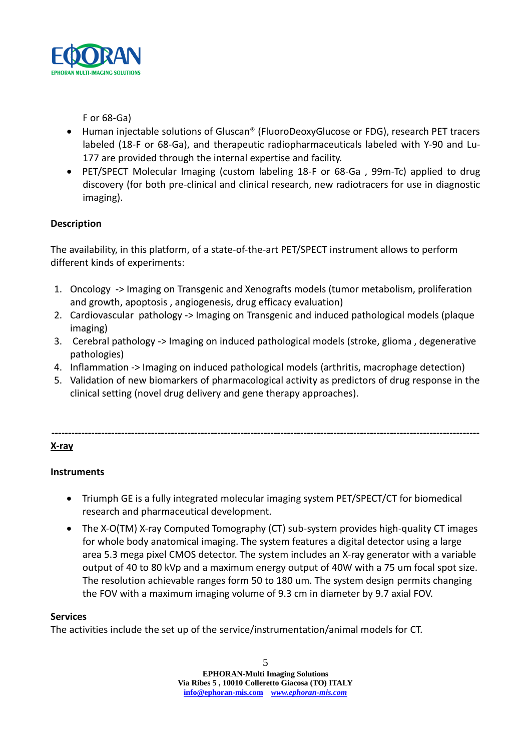

F or 68-Ga)

- Human injectable solutions of Gluscan® (FluoroDeoxyGlucose or FDG), research PET tracers labeled (18-F or 68-Ga), and therapeutic radiopharmaceuticals labeled with Y-90 and Lu-177 are provided through the internal expertise and facility.
- PET/SPECT Molecular Imaging (custom labeling 18-F or 68-Ga , 99m-Tc) applied to drug discovery (for both pre-clinical and clinical research, new radiotracers for use in diagnostic imaging).

# **Description**

The availability, in this platform, of a state-of-the-art PET/SPECT instrument allows to perform different kinds of experiments:

- 1. Oncology -> Imaging on Transgenic and Xenografts models (tumor metabolism, proliferation and growth, apoptosis , angiogenesis, drug efficacy evaluation)
- 2. Cardiovascular pathology -> Imaging on Transgenic and induced pathological models (plaque imaging)
- 3. Cerebral pathology -> Imaging on induced pathological models (stroke, glioma , degenerative pathologies)
- 4. Inflammation -> Imaging on induced pathological models (arthritis, macrophage detection)
- 5. Validation of new biomarkers of pharmacological activity as predictors of drug response in the clinical setting (novel drug delivery and gene therapy approaches).

**---------------------------------------------------------------------------------------------------------------------------------**

# **X-ray**

# **Instruments**

- Triumph GE is a fully integrated molecular imaging system PET/SPECT/CT for biomedical research and pharmaceutical development.
- The X-O(TM) X-ray Computed Tomography (CT) sub-system provides high-quality CT images for whole body anatomical imaging. The system features a digital detector using a large area 5.3 mega pixel CMOS detector. The system includes an X-ray generator with a variable output of 40 to 80 kVp and a maximum energy output of 40W with a 75 um focal spot size. The resolution achievable ranges form 50 to 180 um. The system design permits changing the FOV with a maximum imaging volume of 9.3 cm in diameter by 9.7 axial FOV.

# **Services**

The activities include the set up of the service/instrumentation/animal models for CT.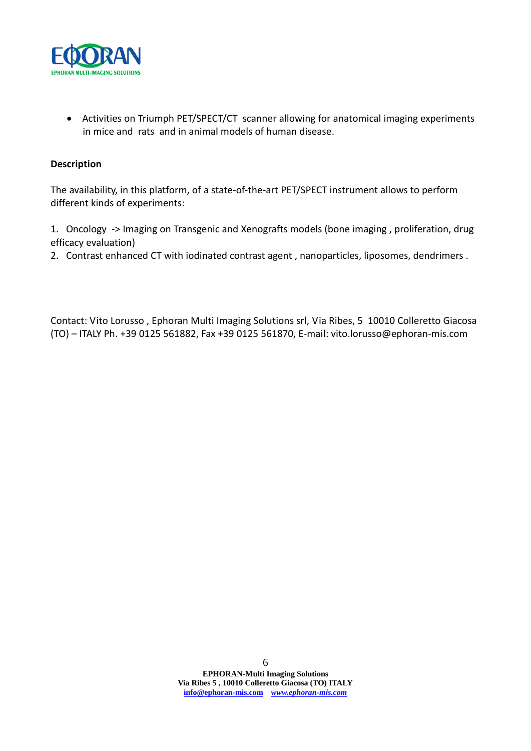

 Activities on Triumph PET/SPECT/CT scanner allowing for anatomical imaging experiments in mice and rats and in animal models of human disease.

### **Description**

The availability, in this platform, of a state-of-the-art PET/SPECT instrument allows to perform different kinds of experiments:

1. Oncology -> Imaging on Transgenic and Xenografts models (bone imaging , proliferation, drug efficacy evaluation)

2. Contrast enhanced CT with iodinated contrast agent , nanoparticles, liposomes, dendrimers .

Contact: Vito Lorusso , Ephoran Multi Imaging Solutions srl, Via Ribes, 5 10010 Colleretto Giacosa (TO) – ITALY Ph. +39 0125 561882, Fax +39 0125 561870, E-mail: vito.lorusso@ephoran-mis.com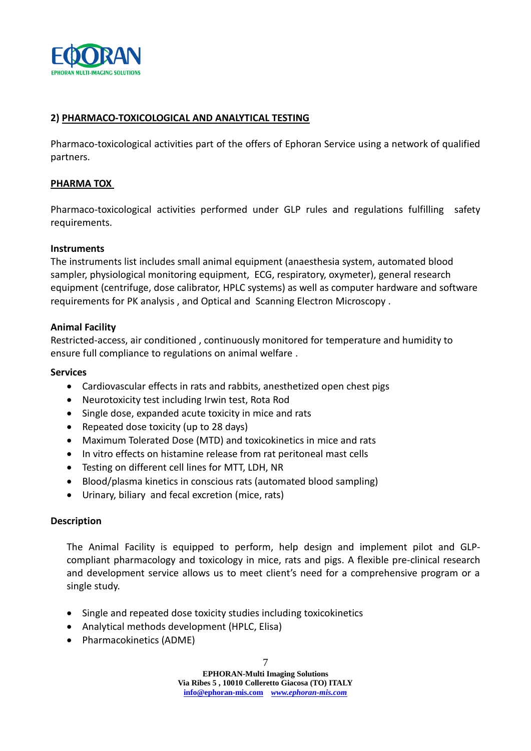

### **2) PHARMACO-TOXICOLOGICAL AND ANALYTICAL TESTING**

Pharmaco-toxicological activities part of the offers of Ephoran Service using a network of qualified partners.

#### **PHARMA TOX**

Pharmaco-toxicological activities performed under GLP rules and regulations fulfilling safety requirements.

#### **Instruments**

The instruments list includes small animal equipment (anaesthesia system, automated blood sampler, physiological monitoring equipment, ECG, respiratory, oxymeter), general research equipment (centrifuge, dose calibrator, HPLC systems) as well as computer hardware and software requirements for PK analysis , and Optical and Scanning Electron Microscopy .

### **Animal Facility**

Restricted-access, air conditioned , continuously monitored for temperature and humidity to ensure full compliance to regulations on animal welfare .

#### **Services**

- Cardiovascular effects in rats and rabbits, anesthetized open chest pigs
- Neurotoxicity test including Irwin test, Rota Rod
- Single dose, expanded acute toxicity in mice and rats
- Repeated dose toxicity (up to 28 days)
- Maximum Tolerated Dose (MTD) and toxicokinetics in mice and rats
- In vitro effects on histamine release from rat peritoneal mast cells
- Testing on different cell lines for MTT, LDH, NR
- Blood/plasma kinetics in conscious rats (automated blood sampling)
- Urinary, biliary and fecal excretion (mice, rats)

#### **Description**

The Animal Facility is equipped to perform, help design and implement pilot and GLPcompliant pharmacology and toxicology in mice, rats and pigs. A flexible pre-clinical research and development service allows us to meet client's need for a comprehensive program or a single study.

- Single and repeated dose toxicity studies including toxicokinetics
- Analytical methods development (HPLC, Elisa)
- Pharmacokinetics (ADME)

**EPHORAN-Multi Imaging Solutions Via Ribes 5 , 10010 Colleretto Giacosa (TO) ITALY info@ephoran-mis.com** *www.ephoran-mis.com*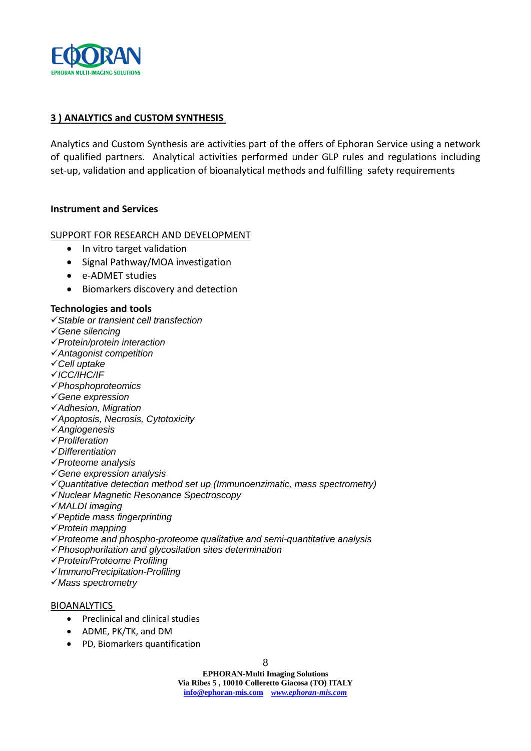

### **3 ) ANALYTICS and CUSTOM SYNTHESIS**

Analytics and Custom Synthesis are activities part of the offers of Ephoran Service using a network of qualified partners. Analytical activities performed under GLP rules and regulations including set-up, validation and application of bioanalytical methods and fulfilling safety requirements

#### **Instrument and Services**

#### SUPPORT FOR RESEARCH AND DEVELOPMENT

- In vitro target validation
- Signal Pathway/MOA investigation
- e-ADMET studies
- Biomarkers discovery and detection

#### **Technologies and tools**

- *Stable or transient cell transfection*
- *Gene silencing*
- *Protein/protein interaction*
- *Antagonist competition*
- *Cell uptake*
- *ICC/IHC/IF*
- *Phosphoproteomics*
- *Gene expression*
- *Adhesion, Migration*
- *Apoptosis, Necrosis, Cytotoxicity*
- *Angiogenesis*
- *Proliferation*
- *Differentiation*
- *Proteome analysis*
- *Gene expression analysis*
- *Quantitative detection method set up (Immunoenzimatic, mass spectrometry)*
- *Nuclear Magnetic Resonance Spectroscopy*
- *MALDI imaging*
- *Peptide mass fingerprinting*
- *Protein mapping*
- *Proteome and phospho-proteome qualitative and semi-quantitative analysis*
- *Phosophorilation and glycosilation sites determination*
- *Protein/Proteome Profiling*
- *ImmunoPrecipitation-Profiling*
- *Mass spectrometry*

#### BIOANALYTICS

- Preclinical and clinical studies
- ADME, PK/TK, and DM
- PD, Biomarkers quantification

**EPHORAN-Multi Imaging Solutions Via Ribes 5 , 10010 Colleretto Giacosa (TO) ITALY info@ephoran-mis.com** *www.ephoran-mis.com*